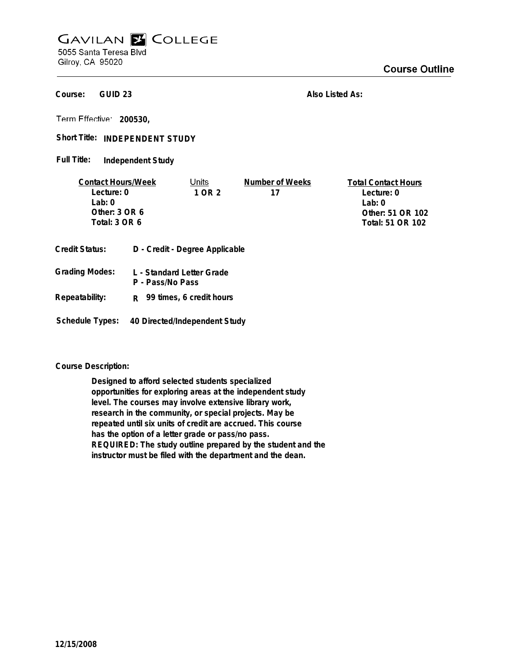## **GAVILAN E COLLEGE** 5055 Santa Teresa Blvd

Gilroy, CA 95020

**GUID 23 Course:**

**Also Listed As:**

**200530,**

Short Title: INDEPENDENT STUDY

**Independent Study Full Title:**

| <b>Contact Hours/Week</b> |                                | Units                     | Number of Weeks  | <b>Total Contact Hours</b> |
|---------------------------|--------------------------------|---------------------------|------------------|----------------------------|
| Lecture: 0                |                                | 1 OR 2                    | 17               | Lecture: 0                 |
| Lab:0                     |                                |                           |                  | Lab: $0$                   |
| Other: $3$ OR $6$         |                                |                           |                  | Other: 51 OR 102           |
| Total: 3 OR 6             |                                |                           | Total: 51 OR 102 |                            |
| <b>Credit Status:</b>     | D - Credit - Degree Applicable |                           |                  |                            |
| <b>Grading Modes:</b>     |                                | L - Standard Letter Grade |                  |                            |

**P - Pass/No Pass Repeatability: R 99 times, 6 credit hours**

**Schedule Types: 40 Directed/Independent Study**

**Course Description:**

**Designed to afford selected students specialized opportunities for exploring areas at the independent study level. The courses may involve extensive library work, research in the community, or special projects. May be repeated until six units of credit are accrued. This course has the option of a letter grade or pass/no pass. REQUIRED: The study outline prepared by the student and the instructor must be filed with the department and the dean.**